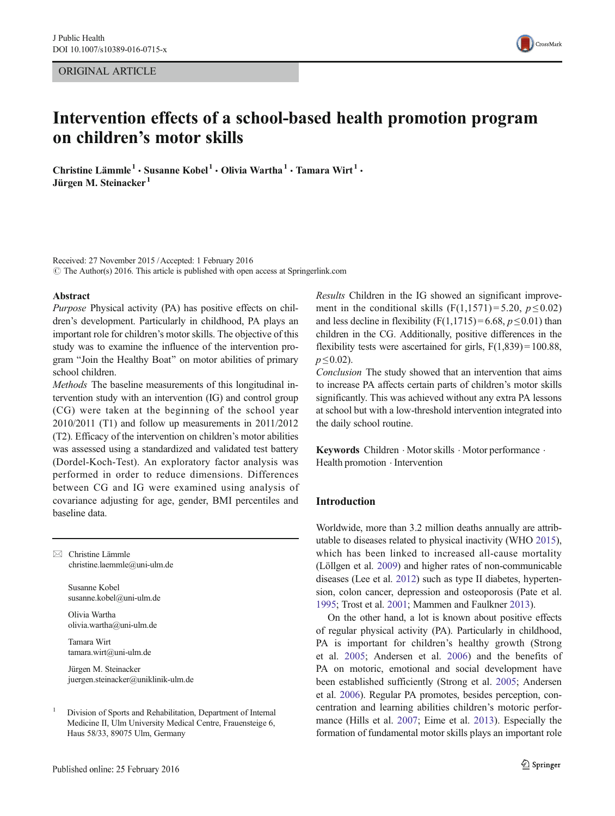ORIGINAL ARTICLE

# Intervention effects of a school-based health promotion program on children's motor skills

Christine Lämmle<sup>1</sup> · Susanne Kobel<sup>1</sup> · Olivia Wartha<sup>1</sup> · Tamara Wirt<sup>1</sup> · Jürgen M. Steinacker<sup>1</sup>

Received: 27 November 2015 /Accepted: 1 February 2016  $\odot$  The Author(s) 2016. This article is published with open access at Springerlink.com

#### Abstract

Purpose Physical activity (PA) has positive effects on children's development. Particularly in childhood, PA plays an important role for children's motor skills. The objective of this study was to examine the influence of the intervention program "Join the Healthy Boat" on motor abilities of primary school children.

Methods The baseline measurements of this longitudinal intervention study with an intervention (IG) and control group (CG) were taken at the beginning of the school year 2010/2011 (T1) and follow up measurements in 2011/2012 (T2). Efficacy of the intervention on children's motor abilities was assessed using a standardized and validated test battery (Dordel-Koch-Test). An exploratory factor analysis was performed in order to reduce dimensions. Differences between CG and IG were examined using analysis of covariance adjusting for age, gender, BMI percentiles and baseline data.

 $\boxtimes$  Christine Lämmle christine.laemmle@uni-ulm.de

> Susanne Kobel susanne.kobel@uni-ulm.de

> Olivia Wartha olivia.wartha@uni-ulm.de

Tamara Wirt tamara.wirt@uni-ulm.de

Jürgen M. Steinacker juergen.steinacker@uniklinik-ulm.de

Published online: 25 February 2016

Results Children in the IG showed an significant improvement in the conditional skills  $(F(1,1571) = 5.20, p \le 0.02)$ and less decline in flexibility  $(F(1,1715) = 6.68, p \le 0.01)$  than children in the CG. Additionally, positive differences in the flexibility tests were ascertained for girls,  $F(1,839) = 100.88$ ,  $p \le 0.02$ ).

Conclusion The study showed that an intervention that aims to increase PA affects certain parts of children's motor skills significantly. This was achieved without any extra PA lessons at school but with a low-threshold intervention integrated into the daily school routine.

Keywords Children . Motor skills . Motor performance . Health promotion . Intervention

# Introduction

Worldwide, more than 3.2 million deaths annually are attributable to diseases related to physical inactivity (WHO [2015\)](#page-7-0), which has been linked to increased all-cause mortality (Löllgen et al. [2009\)](#page-6-0) and higher rates of non-communicable diseases (Lee et al. [2012](#page-6-0)) such as type II diabetes, hypertension, colon cancer, depression and osteoporosis (Pate et al. [1995;](#page-6-0) Trost et al. [2001;](#page-7-0) Mammen and Faulkner [2013](#page-6-0)).

On the other hand, a lot is known about positive effects of regular physical activity (PA). Particularly in childhood, PA is important for children's healthy growth (Strong et al. [2005;](#page-7-0) Andersen et al. [2006](#page-6-0)) and the benefits of PA on motoric, emotional and social development have been established sufficiently (Strong et al. [2005](#page-7-0); Andersen et al. [2006\)](#page-6-0). Regular PA promotes, besides perception, concentration and learning abilities children's motoric performance (Hills et al. [2007;](#page-6-0) Eime et al. [2013\)](#page-6-0). Especially the formation of fundamental motor skills plays an important role



<sup>&</sup>lt;sup>1</sup> Division of Sports and Rehabilitation, Department of Internal Medicine II, Ulm University Medical Centre, Frauensteige 6, Haus 58/33, 89075 Ulm, Germany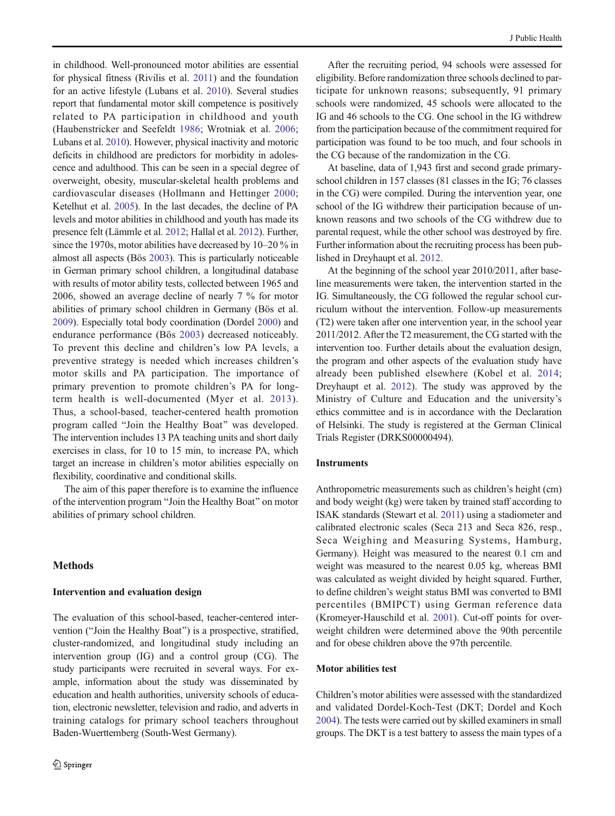in childhood. Well-pronounced motor abilities are essential for physical fitness (Rivilis et al. [2011\)](#page-6-0) and the foundation for an active lifestyle (Lubans et al. [2010\)](#page-6-0). Several studies report that fundamental motor skill competence is positively related to PA participation in childhood and youth (Haubenstricker and Seefeldt [1986;](#page-6-0) Wrotniak et al. [2006](#page-7-0); Lubans et al. [2010](#page-6-0)). However, physical inactivity and motoric deficits in childhood are predictors for morbidity in adolescence and adulthood. This can be seen in a special degree of overweight, obesity, muscular-skeletal health problems and cardiovascular diseases (Hollmann and Hettinger [2000](#page-6-0); Ketelhut et al. [2005](#page-6-0)). In the last decades, the decline of PA levels and motor abilities in childhood and youth has made its presence felt (Lämmle et al. [2012;](#page-6-0) Hallal et al. [2012\)](#page-6-0). Further, since the 1970s, motor abilities have decreased by 10–20 % in almost all aspects (Bös [2003](#page-6-0)). This is particularly noticeable in German primary school children, a longitudinal database with results of motor ability tests, collected between 1965 and 2006, showed an average decline of nearly 7 % for motor abilities of primary school children in Germany (Bös et al. [2009\)](#page-6-0). Especially total body coordination (Dordel [2000\)](#page-6-0) and endurance performance (Bös [2003](#page-6-0)) decreased noticeably. To prevent this decline and children's low PA levels, a preventive strategy is needed which increases children's motor skills and PA participation. The importance of primary prevention to promote children's PA for longterm health is well-documented (Myer et al. [2013](#page-6-0)). Thus, a school-based, teacher-centered health promotion program called "Join the Healthy Boat" was developed. The intervention includes 13 PA teaching units and short daily exercises in class, for 10 to 15 min, to increase PA, which target an increase in children's motor abilities especially on flexibility, coordinative and conditional skills.

The aim of this paper therefore is to examine the influence of the intervention program "Join the Healthy Boat" on motor abilities of primary school children.

# **Methods**

#### Intervention and evaluation design

The evaluation of this school-based, teacher-centered intervention ("Join the Healthy Boat") is a prospective, stratified, cluster-randomized, and longitudinal study including an intervention group (IG) and a control group (CG). The study participants were recruited in several ways. For example, information about the study was disseminated by education and health authorities, university schools of education, electronic newsletter, television and radio, and adverts in training catalogs for primary school teachers throughout Baden-Wuerttemberg (South-West Germany).

After the recruiting period, 94 schools were assessed for eligibility. Before randomization three schools declined to participate for unknown reasons; subsequently, 91 primary schools were randomized, 45 schools were allocated to the IG and 46 schools to the CG. One school in the IG withdrew from the participation because of the commitment required for participation was found to be too much, and four schools in the CG because of the randomization in the CG.

At baseline, data of 1,943 first and second grade primaryschool children in 157 classes (81 classes in the IG; 76 classes in the CG) were compiled. During the intervention year, one school of the IG withdrew their participation because of unknown reasons and two schools of the CG withdrew due to parental request, while the other school was destroyed by fire. Further information about the recruiting process has been published in Dreyhaupt et al. [2012.](#page-6-0)

At the beginning of the school year 2010/2011, after baseline measurements were taken, the intervention started in the IG. Simultaneously, the CG followed the regular school curriculum without the intervention. Follow-up measurements (T2) were taken after one intervention year, in the school year 2011/2012. After the T2 measurement, the CG started with the intervention too. Further details about the evaluation design, the program and other aspects of the evaluation study have already been published elsewhere (Kobel et al. [2014;](#page-6-0) Dreyhaupt et al. [2012\)](#page-6-0). The study was approved by the Ministry of Culture and Education and the university's ethics committee and is in accordance with the Declaration of Helsinki. The study is registered at the German Clinical Trials Register (DRKS00000494).

### **Instruments**

Anthropometric measurements such as children's height (cm) and body weight (kg) were taken by trained staff according to ISAK standards (Stewart et al. [2011](#page-7-0)) using a stadiometer and calibrated electronic scales (Seca 213 and Seca 826, resp., Seca Weighing and Measuring Systems, Hamburg, Germany). Height was measured to the nearest 0.1 cm and weight was measured to the nearest 0.05 kg, whereas BMI was calculated as weight divided by height squared. Further, to define children's weight status BMI was converted to BMI percentiles (BMIPCT) using German reference data (Kromeyer-Hauschild et al. [2001](#page-6-0)). Cut-off points for overweight children were determined above the 90th percentile and for obese children above the 97th percentile.

#### Motor abilities test

Children's motor abilities were assessed with the standardized and validated Dordel-Koch-Test (DKT; Dordel and Koch [2004\)](#page-6-0). The tests were carried out by skilled examiners in small groups. The DKT is a test battery to assess the main types of a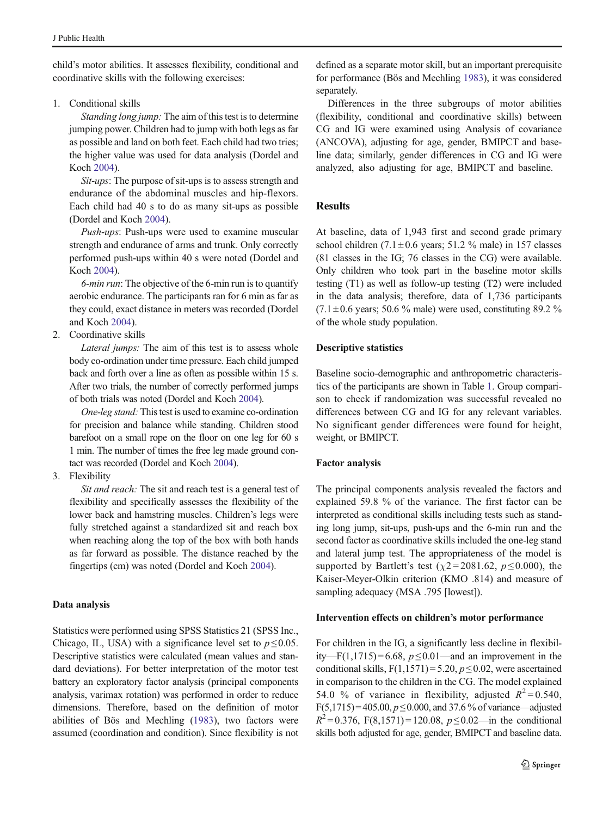child's motor abilities. It assesses flexibility, conditional and coordinative skills with the following exercises:

### 1. Conditional skills

Standing long jump: The aim of this test is to determine jumping power. Children had to jump with both legs as far as possible and land on both feet. Each child had two tries; the higher value was used for data analysis (Dordel and Koch [2004](#page-6-0)).

Sit-ups: The purpose of sit-ups is to assess strength and endurance of the abdominal muscles and hip-flexors. Each child had 40 s to do as many sit-ups as possible (Dordel and Koch [2004\)](#page-6-0).

Push-ups: Push-ups were used to examine muscular strength and endurance of arms and trunk. Only correctly performed push-ups within 40 s were noted (Dordel and Koch [2004](#page-6-0)).

6-min run: The objective of the 6-min run is to quantify aerobic endurance. The participants ran for 6 min as far as they could, exact distance in meters was recorded (Dordel and Koch [2004](#page-6-0)).

2. Coordinative skills

Lateral jumps: The aim of this test is to assess whole body co-ordination under time pressure. Each child jumped back and forth over a line as often as possible within 15 s. After two trials, the number of correctly performed jumps of both trials was noted (Dordel and Koch [2004](#page-6-0)).

One-leg stand: This test is used to examine co-ordination for precision and balance while standing. Children stood barefoot on a small rope on the floor on one leg for 60 s 1 min. The number of times the free leg made ground contact was recorded (Dordel and Koch [2004\)](#page-6-0).

3. Flexibility

Sit and reach: The sit and reach test is a general test of flexibility and specifically assesses the flexibility of the lower back and hamstring muscles. Children's legs were fully stretched against a standardized sit and reach box when reaching along the top of the box with both hands as far forward as possible. The distance reached by the fingertips (cm) was noted (Dordel and Koch [2004](#page-6-0)).

#### Data analysis

Statistics were performed using SPSS Statistics 21 (SPSS Inc., Chicago, IL, USA) with a significance level set to  $p \le 0.05$ . Descriptive statistics were calculated (mean values and standard deviations). For better interpretation of the motor test battery an exploratory factor analysis (principal components analysis, varimax rotation) was performed in order to reduce dimensions. Therefore, based on the definition of motor abilities of Bös and Mechling [\(1983](#page-6-0)), two factors were assumed (coordination and condition). Since flexibility is not defined as a separate motor skill, but an important prerequisite for performance (Bös and Mechling [1983](#page-6-0)), it was considered separately.

Differences in the three subgroups of motor abilities (flexibility, conditional and coordinative skills) between CG and IG were examined using Analysis of covariance (ANCOVA), adjusting for age, gender, BMIPCT and baseline data; similarly, gender differences in CG and IG were analyzed, also adjusting for age, BMIPCT and baseline.

# **Results**

At baseline, data of 1,943 first and second grade primary school children  $(7.1 \pm 0.6$  years; 51.2 % male) in 157 classes (81 classes in the IG; 76 classes in the CG) were available. Only children who took part in the baseline motor skills testing (T1) as well as follow-up testing (T2) were included in the data analysis; therefore, data of 1,736 participants  $(7.1 \pm 0.6$  years; 50.6 % male) were used, constituting 89.2 % of the whole study population.

# Descriptive statistics

Baseline socio-demographic and anthropometric characteristics of the participants are shown in Table [1.](#page-3-0) Group comparison to check if randomization was successful revealed no differences between CG and IG for any relevant variables. No significant gender differences were found for height, weight, or BMIPCT.

### Factor analysis

The principal components analysis revealed the factors and explained 59.8 % of the variance. The first factor can be interpreted as conditional skills including tests such as standing long jump, sit-ups, push-ups and the 6-min run and the second factor as coordinative skills included the one-leg stand and lateral jump test. The appropriateness of the model is supported by Bartlett's test ( $\chi$ 2 = 2081.62,  $p \le 0.000$ ), the Kaiser-Meyer-Olkin criterion (KMO .814) and measure of sampling adequacy (MSA .795 [lowest]).

#### Intervention effects on children's motor performance

For children in the IG, a significantly less decline in flexibility—F(1,1715)=6.68,  $p \le 0.01$ —and an improvement in the conditional skills,  $F(1,1571) = 5.20, p \le 0.02$ , were ascertained in comparison to the children in the CG. The model explained 54.0 % of variance in flexibility, adjusted  $R^2 = 0.540$ , F(5,1715) = 405.00,  $p \le 0.000$ , and 37.6% of variance—adjusted  $R^2$ = 0.376, F(8,1571) = 120.08,  $p \le 0.02$ —in the conditional skills both adjusted for age, gender, BMIPCT and baseline data.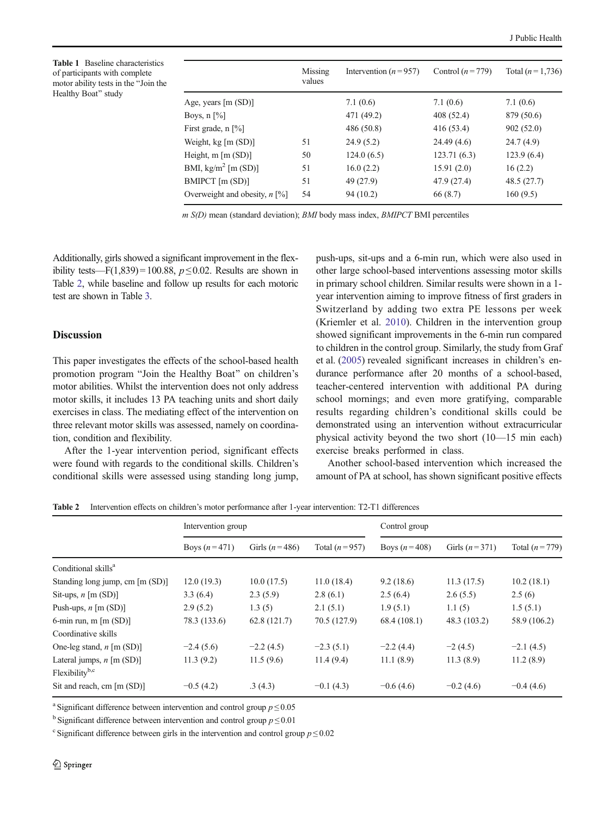<span id="page-3-0"></span>Table 1 Baseline characteristics of participants with complete motor ability tests in the "Join the Healthy Boat" study

|                                              | Missing<br>values | Intervention ( $n = 957$ ) | Control $(n=779)$ | Total $(n=1,736)$ |
|----------------------------------------------|-------------------|----------------------------|-------------------|-------------------|
| Age, years [m (SD)]                          |                   | 7.1(0.6)                   | 7.1(0.6)          | 7.1(0.6)          |
| Boys, n [%]                                  |                   | 471 (49.2)                 | 408 (52.4)        | 879 (50.6)        |
| First grade, $n \sqrt{2}$                    |                   | 486 (50.8)                 | 416 (53.4)        | 902(52.0)         |
| Weight, kg [m (SD)]                          | 51                | 24.9(5.2)                  | 24.49(4.6)        | 24.7(4.9)         |
| Height, m [m (SD)]                           | 50                | 124.0(6.5)                 | 123.71(6.3)       | 123.9(6.4)        |
| BMI, $\text{kg/m}^2$ [m (SD)]                | 51                | 16.0(2.2)                  | 15.91(2.0)        | 16(2.2)           |
| <b>BMIPCT</b> [m (SD)]                       | 51                | 49 (27.9)                  | 47.9 (27.4)       | 48.5 (27.7)       |
| Overweight and obesity, $n \lceil \% \rceil$ | 54                | 94 (10.2)                  | 66(8.7)           | 160(9.5)          |

m S(D) mean (standard deviation); BMI body mass index, BMIPCT BMI percentiles

Additionally, girls showed a significant improvement in the flexibility tests—F(1,839) = 100.88,  $p \le 0.02$ . Results are shown in Table 2, while baseline and follow up results for each motoric test are shown in Table [3.](#page-4-0)

# **Discussion**

This paper investigates the effects of the school-based health promotion program "Join the Healthy Boat" on children's motor abilities. Whilst the intervention does not only address motor skills, it includes 13 PA teaching units and short daily exercises in class. The mediating effect of the intervention on three relevant motor skills was assessed, namely on coordination, condition and flexibility.

After the 1-year intervention period, significant effects were found with regards to the conditional skills. Children's conditional skills were assessed using standing long jump, push-ups, sit-ups and a 6-min run, which were also used in other large school-based interventions assessing motor skills in primary school children. Similar results were shown in a 1 year intervention aiming to improve fitness of first graders in Switzerland by adding two extra PE lessons per week (Kriemler et al. [2010](#page-6-0)). Children in the intervention group showed significant improvements in the 6-min run compared to children in the control group. Similarly, the study from Graf et al. ([2005](#page-6-0)) revealed significant increases in children's endurance performance after 20 months of a school-based, teacher-centered intervention with additional PA during school mornings; and even more gratifying, comparable results regarding children's conditional skills could be demonstrated using an intervention without extracurricular physical activity beyond the two short (10—15 min each) exercise breaks performed in class.

Another school-based intervention which increased the amount of PA at school, has shown significant positive effects

Table 2 Intervention effects on children's motor performance after 1-year intervention: T2-T1 differences

|                                     | Intervention group |                 |                 | Control group  |                 |                 |
|-------------------------------------|--------------------|-----------------|-----------------|----------------|-----------------|-----------------|
|                                     | Boys $(n=471)$     | Girls $(n=486)$ | Total $(n=957)$ | Boys $(n=408)$ | Girls $(n=371)$ | Total $(n=779)$ |
| Conditional skills <sup>a</sup>     |                    |                 |                 |                |                 |                 |
| Standing long jump, cm [m (SD)]     | 12.0(19.3)         | 10.0(17.5)      | 11.0(18.4)      | 9.2(18.6)      | 11.3(17.5)      | 10.2(18.1)      |
| Sit-ups, $n \text{ [m (SD)]}$       | 3.3(6.4)           | 2.3(5.9)        | 2.8(6.1)        | 2.5(6.4)       | 2.6(5.5)        | 2.5(6)          |
| Push-ups, $n \text{ [m (SD)]}$      | 2.9(5.2)           | 1.3(5)          | 2.1(5.1)        | 1.9(5.1)       | 1.1(5)          | 1.5(5.1)        |
| 6-min run, m $[m (SD)]$             | 78.3 (133.6)       | 62.8(121.7)     | 70.5 (127.9)    | 68.4(108.1)    | 48.3 (103.2)    | 58.9 (106.2)    |
| Coordinative skills                 |                    |                 |                 |                |                 |                 |
| One-leg stand, $n \text{ [m (SD)]}$ | $-2.4(5.6)$        | $-2.2(4.5)$     | $-2.3(5.1)$     | $-2.2(4.4)$    | $-2(4.5)$       | $-2.1(4.5)$     |
| Lateral jumps, $n \text{ [m (SD)]}$ | 11.3(9.2)          | 11.5(9.6)       | 11.4(9.4)       | 11.1(8.9)      | 11.3(8.9)       | 11.2(8.9)       |
| Flexibility <sup>b,c</sup>          |                    |                 |                 |                |                 |                 |
| Sit and reach, cm [m (SD)]          | $-0.5(4.2)$        | .3(4.3)         | $-0.1(4.3)$     | $-0.6(4.6)$    | $-0.2(4.6)$     | $-0.4(4.6)$     |

<sup>a</sup> Significant difference between intervention and control group  $p \le 0.05$ 

<sup>b</sup> Significant difference between intervention and control group  $p \le 0.01$ 

<sup>c</sup> Significant difference between girls in the intervention and control group  $p \le 0.02$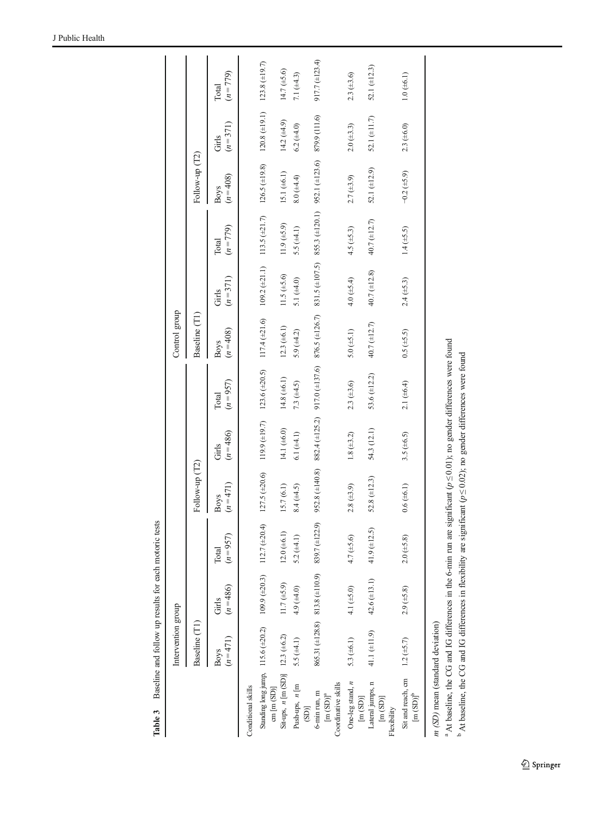| I<br>۱<br>י<br>I<br>ı                                |
|------------------------------------------------------|
| Ï<br>í<br>í<br>j<br>١<br>i<br>I<br>í<br>l<br>۱<br>۱  |
| í<br>ij<br>I<br>þ<br>j<br>I<br>֚<br>ı                |
| ij<br>Ï<br>١<br>l                                    |
| I<br>١<br>í<br>í<br>Ï<br>I<br>i<br>۱                 |
| ij<br>ï                                              |
| Ï<br>١<br>I<br>í<br>í<br>l<br>i                      |
| ۱<br>l<br>ı                                          |
| ı<br>ï<br>ij<br>í<br>í<br>l<br>l<br>l<br>١<br>I<br>ı |
| J<br>J<br>$\overline{a}$<br>ī<br>۱<br>١              |

<span id="page-4-0"></span>

|                                                                                                       | Intervention group       |                                          |                      |                           |                    |                                                             | Control group     |                      |                      |                                                      |                    |                      |
|-------------------------------------------------------------------------------------------------------|--------------------------|------------------------------------------|----------------------|---------------------------|--------------------|-------------------------------------------------------------|-------------------|----------------------|----------------------|------------------------------------------------------|--------------------|----------------------|
|                                                                                                       | Baseline (T1)            |                                          |                      | Follow-up $(T2)$          |                    |                                                             | Baseline (T1)     |                      |                      | Follow-up (T2)                                       |                    |                      |
|                                                                                                       | $(n=471)$<br><b>Boys</b> | $(n=486)$<br>Girls                       | $(n = 957)$<br>Total | $(n=471)$<br><b>Boys</b>  | $(n=486)$<br>Girls | $(n = 957)$<br>Total                                        | $(n=408)$<br>Boys | $(n=371)$<br>Girls   | $(n = 779)$<br>Total | $(n=408)$<br>Boys                                    | $(n=371)$<br>Girls | $(n = 779)$<br>Total |
| Conditional skills                                                                                    |                          |                                          |                      |                           |                    |                                                             |                   |                      |                      |                                                      |                    |                      |
| Standing long jump, 115.6 ( $\pm$ 20.2) 109.9 ( $\pm$ 20.3) 112.7 ( $\pm$ 20.4)<br>cm [m(SD)]         |                          |                                          |                      | $127.5 (\pm 20.6)$        | $119.9 (\pm 19.7)$ | 123.6 $(\pm 20.5)$ 117.4 $(\pm 21.6)$                       |                   | $109.2 \ (\pm 21.1)$ | $113.5 (+21.7)$      | $126.5 (\pm 19.8)$                                   | $120.8 (\pm 19.1)$ | $123.8 (\pm 19.7)$   |
| Sit-ups, $n$ [m (SD)] 12.3 ( $\pm$ 6.2)                                                               |                          | $11.7 (\pm 5.9)$                         | $12.0 (\pm 6.1)$     | 15.7 (6.1)                | 14.1 ( $\pm 6.0$ ) | 14.8 ( $\pm$ 6.1)                                           | $12.3 (\pm 6.1)$  | 11.5 ( $\pm$ 5.6)    | $11.9 (\pm 5.9)$     | 15.1 $(\pm 6.1)$                                     | $14.2 (\pm 4.9)$   | 14.7 $(\pm 5.6)$     |
| Push-ups, $n \, [\text{m}]$<br>$[{\rm (3D)}]$                                                         | $5.5 (\pm 4.1)$          | 4.9(±4.0)                                | $5.2 (\pm 4.1)$      | $8.4 (\pm 4.5)$           | 6.1 $(±4.1)$       | $7.3 (\pm 4.5)$                                             | 5.9(±4.2)         | 5.1 $(±4.0)$         | 5.5 $(±4.1)$         | $8.0~(\pm4.4)$                                       | $6.2 (\pm 4.0)$    | 7.1 $(\pm 4.3)$      |
| Coordinative skills<br>6-min run, m<br>$\left[\mathrm{m}\left(\mathrm{SD}\right)\right]^{\mathrm{a}}$ |                          | 865.31 $(\pm 128.8)$ 813.8 $(\pm 110.9)$ | 839.7 (±122.9)       | $952.8 (\pm 140.8)$       |                    | 882.4 $(\pm 125.2)$ 917.0 $(\pm 137.6)$ 876.5 $(\pm 126.7)$ |                   | 831.5 (±107.5)       |                      | 855.3 $(\pm 120.1)$ 952.1 $(\pm 123.6)$ 879.9 (11.6) |                    | 917.7 (±123.4)       |
| One-leg stand, $n$<br>[m(SD)]                                                                         | 5.3 $(\pm 6.1)$          | 4.1 ( $\pm$ 5.0)                         | $4.7 (\pm 5.6)$      | $2.8 (\pm 3.9)$           | $1.8 (\pm 3.2)$    | $2.3 (\pm 3.6)$                                             | $5.0$ $(\pm 5.1)$ | 4.0 $(\pm 5.4)$      | $4.5 (\pm 5.3)$      | $2.7 (\pm 3.9)$                                      | $2.0 (\pm 3.3)$    | $2.3 (\pm 3.6)$      |
| Lateral jumps, n<br>$[$ m $(SD)]$<br>Flexibility                                                      | 41.1 (±11.9)             | 42.6 ( $\pm$ 13.1)                       | 41.9 $(\pm 12.5)$    | $52.8 (\pm 12.3)$         | 54.3 (12.1)        | 53.6 ( $\pm$ 12.2)                                          | 40.7 (±12.7)      | $40.7 (\pm 12.8)$    | 40.7 (±12.7)         | 52.1 (±12.9)                                         | 52.1 (±11.7)       | 52.1 (±12.3)         |
| Sit and reach, cm<br>$\left[\text{m}\left(\text{SD}\right)\right]^{\text{b}}$                         | $1.2 (+5.7)$             | $2.9 (\pm 5.8)$                          | $2.0 (\pm 5.8)$      | $0.6 (\pm 6.1)$           | 3.5 $(\pm 6.5)$    | $2.1 (\pm 6.4)$                                             | $0.5 (\pm 5.5)$   | $2.4 (\pm 5.3)$      | $1.4 (\pm 5.5)$      | $-0.2$ ( $\pm$ 5.9)                                  | $2.3 (\pm 6.0)$    | $1.0 (\pm 6.1)$      |
| m (SD) mean (standard deviation)                                                                      |                          |                                          |                      | $\ddot{\phantom{a}}$<br>İ |                    |                                                             |                   |                      |                      |                                                      |                    |                      |

<sup>a</sup> At baseline, the CG and IG differences in the 6-min run are significant ( $p \le 0.01$ ); no gender differences were found <sup>b</sup> At baseline, the CG and IG differences in flexibility are significant ( $p \le 0.02$ ); no gender <sup>a</sup> At baseline, the CG and IG differences in the 6-min run are significant ( $p \le 0.01$ ); no gender differences were found

**b** At baseline, the CG and IG differences in flexibility are significant ( $p \le 0.02$ ); no gender differences were found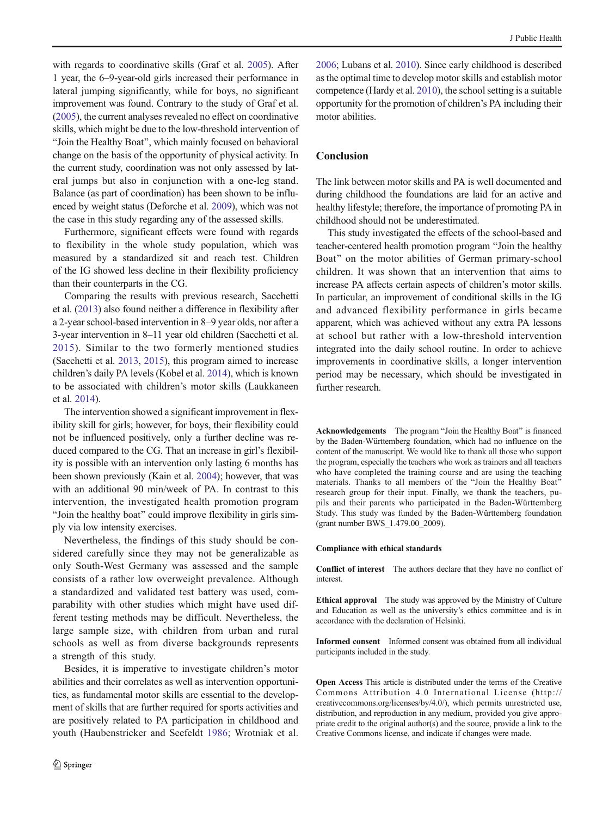with regards to coordinative skills (Graf et al. [2005](#page-6-0)). After 1 year, the 6–9-year-old girls increased their performance in lateral jumping significantly, while for boys, no significant improvement was found. Contrary to the study of Graf et al. [\(2005\)](#page-6-0), the current analyses revealed no effect on coordinative skills, which might be due to the low-threshold intervention of "Join the Healthy Boat", which mainly focused on behavioral change on the basis of the opportunity of physical activity. In the current study, coordination was not only assessed by lateral jumps but also in conjunction with a one-leg stand. Balance (as part of coordination) has been shown to be influenced by weight status (Deforche et al. [2009\)](#page-6-0), which was not the case in this study regarding any of the assessed skills.

Furthermore, significant effects were found with regards to flexibility in the whole study population, which was measured by a standardized sit and reach test. Children of the IG showed less decline in their flexibility proficiency than their counterparts in the CG.

Comparing the results with previous research, Sacchetti et al. [\(2013\)](#page-6-0) also found neither a difference in flexibility after a 2-year school-based intervention in 8–9 year olds, nor after a 3-year intervention in 8–11 year old children (Sacchetti et al. [2015](#page-7-0)). Similar to the two formerly mentioned studies (Sacchetti et al. [2013](#page-6-0), [2015](#page-7-0)), this program aimed to increase children's daily PA levels (Kobel et al. [2014](#page-6-0)), which is known to be associated with children's motor skills (Laukkaneen et al. [2014](#page-6-0)).

The intervention showed a significant improvement in flexibility skill for girls; however, for boys, their flexibility could not be influenced positively, only a further decline was reduced compared to the CG. That an increase in girl's flexibility is possible with an intervention only lasting 6 months has been shown previously (Kain et al. [2004\)](#page-6-0); however, that was with an additional 90 min/week of PA. In contrast to this intervention, the investigated health promotion program "Join the healthy boat" could improve flexibility in girls simply via low intensity exercises.

Nevertheless, the findings of this study should be considered carefully since they may not be generalizable as only South-West Germany was assessed and the sample consists of a rather low overweight prevalence. Although a standardized and validated test battery was used, comparability with other studies which might have used different testing methods may be difficult. Nevertheless, the large sample size, with children from urban and rural schools as well as from diverse backgrounds represents a strength of this study.

Besides, it is imperative to investigate children's motor abilities and their correlates as well as intervention opportunities, as fundamental motor skills are essential to the development of skills that are further required for sports activities and are positively related to PA participation in childhood and youth (Haubenstricker and Seefeldt [1986;](#page-6-0) Wrotniak et al. [2006;](#page-7-0) Lubans et al. [2010\)](#page-6-0). Since early childhood is described as the optimal time to develop motor skills and establish motor competence (Hardy et al. [2010](#page-6-0)), the school setting is a suitable opportunity for the promotion of children's PA including their motor abilities.

# Conclusion

The link between motor skills and PA is well documented and during childhood the foundations are laid for an active and healthy lifestyle; therefore, the importance of promoting PA in childhood should not be underestimated.

This study investigated the effects of the school-based and teacher-centered health promotion program "Join the healthy Boat" on the motor abilities of German primary-school children. It was shown that an intervention that aims to increase PA affects certain aspects of children's motor skills. In particular, an improvement of conditional skills in the IG and advanced flexibility performance in girls became apparent, which was achieved without any extra PA lessons at school but rather with a low-threshold intervention integrated into the daily school routine. In order to achieve improvements in coordinative skills, a longer intervention period may be necessary, which should be investigated in further research.

Acknowledgements The program "Join the Healthy Boat" is financed by the Baden-Württemberg foundation, which had no influence on the content of the manuscript. We would like to thank all those who support the program, especially the teachers who work as trainers and all teachers who have completed the training course and are using the teaching materials. Thanks to all members of the "Join the Healthy Boat" research group for their input. Finally, we thank the teachers, pupils and their parents who participated in the Baden-Württemberg Study. This study was funded by the Baden-Württemberg foundation (grant number BWS\_1.479.00\_2009).

#### Compliance with ethical standards

Conflict of interest The authors declare that they have no conflict of interest.

Ethical approval The study was approved by the Ministry of Culture and Education as well as the university's ethics committee and is in accordance with the declaration of Helsinki.

Informed consent Informed consent was obtained from all individual participants included in the study.

Open Access This article is distributed under the terms of the Creative Commons Attribution 4.0 International License (http:// creativecommons.org/licenses/by/4.0/), which permits unrestricted use, distribution, and reproduction in any medium, provided you give appropriate credit to the original author(s) and the source, provide a link to the Creative Commons license, and indicate if changes were made.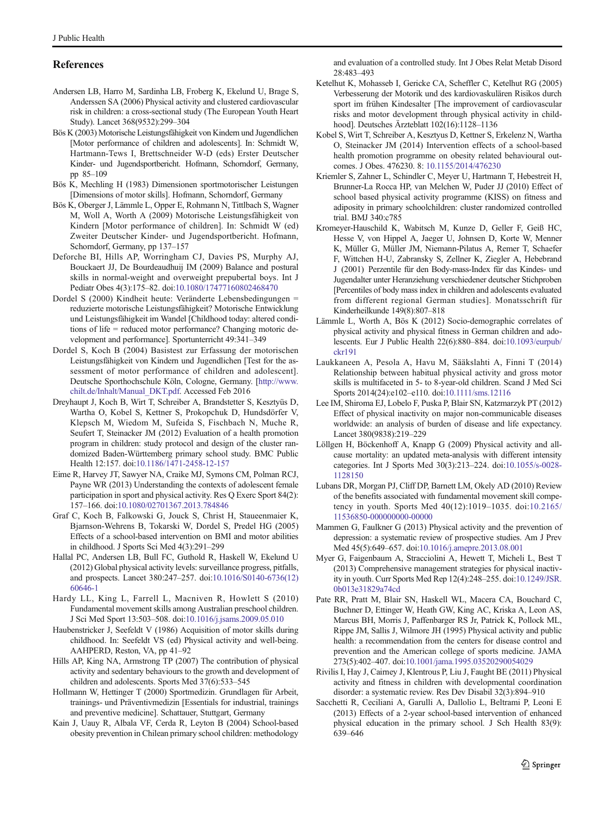# <span id="page-6-0"></span>References

- Andersen LB, Harro M, Sardinha LB, Froberg K, Ekelund U, Brage S, Anderssen SA (2006) Physical activity and clustered cardiovascular risk in children: a cross-sectional study (The European Youth Heart Study). Lancet 368(9532):299–304
- Bös K (2003) Motorische Leistungsfähigkeit von Kindern und Jugendlichen [Motor performance of children and adolescents]. In: Schmidt W, Hartmann-Tews I, Brettschneider W-D (eds) Erster Deutscher Kinder- und Jugendsportbericht. Hofmann, Schorndorf, Germany, pp 85–109
- Bös K, Mechling H (1983) Dimensionen sportmotorischer Leistungen [Dimensions of motor skills]. Hofmann, Schorndorf, Germany
- Bös K, Oberger J, Lämmle L, Opper E, Rohmann N, Tittlbach S, Wagner M, Woll A, Worth A (2009) Motorische Leistungsfähigkeit von Kindern [Motor performance of children]. In: Schmidt W (ed) Zweiter Deutscher Kinder- und Jugendsportbericht. Hofmann, Schorndorf, Germany, pp 137–157
- Deforche BI, Hills AP, Worringham CJ, Davies PS, Murphy AJ, Bouckaert JJ, De Bourdeaudhuij IM (2009) Balance and postural skills in normal-weight and overweight prepubertal boys. Int J Pediatr Obes 4(3):175–82. doi[:10.1080/17477160802468470](http://dx.doi.org/10.1080/17477160802468470)
- Dordel S (2000) Kindheit heute: Veränderte Lebensbedingungen = reduzierte motorische Leistungsfähigkeit? Motorische Entwicklung und Leistungsfähigkeit im Wandel [Childhood today: altered conditions of life = reduced motor performance? Changing motoric development and performance]. Sportunterricht 49:341–349
- Dordel S, Koch B (2004) Basistest zur Erfassung der motorischen Leistungsfähigkeit von Kindern und Jugendlichen [Test for the assessment of motor performance of children and adolescent]. Deutsche Sporthochschule Köln, Cologne, Germany. [\[http://www.](http://www.chilt.de/Inhalt/Manual_DKT.pdf) [chilt.de/Inhalt/Manual\\_DKT.pdf.](http://www.chilt.de/Inhalt/Manual_DKT.pdf) Accessed Feb 2016
- Dreyhaupt J, Koch B, Wirt T, Schreiber A, Brandstetter S, Kesztyüs D, Wartha O, Kobel S, Kettner S, Prokopchuk D, Hundsdörfer V, Klepsch M, Wiedom M, Sufeida S, Fischbach N, Muche R, Seufert T, Steinacker JM (2012) Evaluation of a health promotion program in children: study protocol and design of the cluster randomized Baden-Württemberg primary school study. BMC Public Health 12:157. doi:[10.1186/1471-2458-12-157](http://dx.doi.org/10.1186/1471-2458-12-157)
- Eime R, Harvey JT, Sawyer NA, Craike MJ, Symons CM, Polman RCJ, Payne WR (2013) Understanding the contexts of adolescent female participation in sport and physical activity. Res Q Exerc Sport 84(2): 157–166. doi[:10.1080/02701367.2013.784846](http://dx.doi.org/10.1080/02701367.2013.784846)
- Graf C, Koch B, Falkowski G, Jouck S, Christ H, Staueenmaier K, Bjarnson-Wehrens B, Tokarski W, Dordel S, Predel HG (2005) Effects of a school-based intervention on BMI and motor abilities in childhood. J Sports Sci Med 4(3):291–299
- Hallal PC, Andersen LB, Bull FC, Guthold R, Haskell W, Ekelund U (2012) Global physical activity levels: surveillance progress, pitfalls, and prospects. Lancet 380:247–257. doi[:10.1016/S0140-6736\(12\)](http://dx.doi.org/10.1016/S0140-6736(12)60646-1) [60646-1](http://dx.doi.org/10.1016/S0140-6736(12)60646-1)
- Hardy LL, King L, Farrell L, Macniven R, Howlett S (2010) Fundamental movement skills among Australian preschool children. J Sci Med Sport 13:503–508. doi[:10.1016/j.jsams.2009.05.010](http://dx.doi.org/10.1016/j.jsams.2009.05.010)
- Haubenstricker J, Seefeldt V (1986) Acquisition of motor skills during childhood. In: Seefeldt VS (ed) Physical activity and well-being. AAHPERD, Reston, VA, pp 41–92
- Hills AP, King NA, Armstrong TP (2007) The contribution of physical activity and sedentary behaviours to the growth and development of children and adolescents. Sports Med 37(6):533–545
- Hollmann W, Hettinger T (2000) Sportmedizin. Grundlagen für Arbeit, trainings- und Präventivmedizin [Essentials for industrial, trainings and preventive medicine]. Schattauer, Stuttgart, Germany
- Kain J, Uauy R, Albala VF, Cerda R, Leyton B (2004) School-based obesity prevention in Chilean primary school children: methodology

and evaluation of a controlled study. Int J Obes Relat Metab Disord 28:483–493

- Ketelhut K, Mohasseb I, Gericke CA, Scheffler C, Ketelhut RG (2005) Verbesserung der Motorik und des kardiovaskulären Risikos durch sport im frühen Kindesalter [The improvement of cardiovascular risks and motor development through physical activity in childhood]. Deutsches Ärzteblatt 102(16):1128–1136
- Kobel S, Wirt T, Schreiber A, Kesztyus D, Kettner S, Erkelenz N, Wartha O, Steinacker JM (2014) Intervention effects of a school-based health promotion programme on obesity related behavioural outcomes. J Obes. 476230. 8: [10.1155/2014/476230](http://dx.doi.org/10.1155/2014/476230)
- Kriemler S, Zahner L, Schindler C, Meyer U, Hartmann T, Hebestreit H, Brunner-La Rocca HP, van Melchen W, Puder JJ (2010) Effect of school based physical activity programme (KISS) on fitness and adiposity in primary schoolchildren: cluster randomized controlled trial. BMJ 340:c785
- Kromeyer-Hauschild K, Wabitsch M, Kunze D, Geller F, Geiß HC, Hesse V, von Hippel A, Jaeger U, Johnsen D, Korte W, Menner K, Müller G, Müller JM, Niemann-Pilatus A, Remer T, Schaefer F, Wittchen H-U, Zabransky S, Zellner K, Ziegler A, Hebebrand J (2001) Perzentile für den Body-mass-Index für das Kindes- und Jugendalter unter Heranziehung verschiedener deutscher Stichproben [Percentiles of body mass index in children and adolescents evaluated from different regional German studies]. Monatsschrift für Kinderheilkunde 149(8):807–818
- Lämmle L, Worth A, Bös K (2012) Socio-demographic correlates of physical activity and physical fitness in German children and adolescents. Eur J Public Health 22(6):880–884. doi[:10.1093/eurpub/](http://dx.doi.org/10.1093/eurpub/ckr191) [ckr191](http://dx.doi.org/10.1093/eurpub/ckr191)
- Laukkaneen A, Pesola A, Havu M, Sääkslahti A, Finni T (2014) Relationship between habitual physical activity and gross motor skills is multifaceted in 5- to 8-year-old children. Scand J Med Sci Sports 2014(24):e102–e110. doi[:10.1111/sms.12116](http://dx.doi.org/10.1111/sms.12116)
- Lee IM, Shiroma EJ, Lobelo F, Puska P, Blair SN, Katzmarzyk PT (2012) Effect of physical inactivity on major non-communicable diseases worldwide: an analysis of burden of disease and life expectancy. Lancet 380(9838):219–229
- Löllgen H, Böckenhoff A, Knapp G (2009) Physical activity and allcause mortality: an updated meta-analysis with different intensity categories. Int J Sports Med 30(3):213–224. doi:[10.1055/s-0028-](http://dx.doi.org/10.1055/s-0028-1128150) [1128150](http://dx.doi.org/10.1055/s-0028-1128150)
- Lubans DR, Morgan PJ, Cliff DP, Barnett LM, Okely AD (2010) Review of the benefits associated with fundamental movement skill competency in youth. Sports Med 40(12):1019–1035. doi:[10.2165/](http://dx.doi.org/10.2165/11536850-000000000-00000) [11536850-000000000-00000](http://dx.doi.org/10.2165/11536850-000000000-00000)
- Mammen G, Faulkner G (2013) Physical activity and the prevention of depression: a systematic review of prospective studies. Am J Prev Med 45(5):649–657. doi[:10.1016/j.amepre.2013.08.001](http://dx.doi.org/10.1016/j.amepre.2013.08.001)
- Myer G, Faigenbaum A, Stracciolini A, Hewett T, Micheli L, Best T (2013) Comprehensive management strategies for physical inactivity in youth. Curr Sports Med Rep 12(4):248–255. doi[:10.1249/JSR.](http://dx.doi.org/10.1249/JSR.0b013e31829a74cd) [0b013e31829a74cd](http://dx.doi.org/10.1249/JSR.0b013e31829a74cd)
- Pate RR, Pratt M, Blair SN, Haskell WL, Macera CA, Bouchard C, Buchner D, Ettinger W, Heath GW, King AC, Kriska A, Leon AS, Marcus BH, Morris J, Paffenbarger RS Jr, Patrick K, Pollock ML, Rippe JM, Sallis J, Wilmore JH (1995) Physical activity and public health: a recommendation from the centers for disease control and prevention and the American college of sports medicine. JAMA 273(5):402–407. doi[:10.1001/jama.1995.03520290054029](http://dx.doi.org/10.1001/jama.1995.03520290054029)
- Rivilis I, Hay J, Cairney J, Klentrous P, Liu J, Faught BE (2011) Physical activity and fitness in children with developmental coordination disorder: a systematic review. Res Dev Disabil 32(3):894–910
- Sacchetti R, Ceciliani A, Garulli A, Dallolio L, Beltrami P, Leoni E (2013) Effects of a 2-year school-based intervention of enhanced physical education in the primary school. J Sch Health 83(9): 639–646